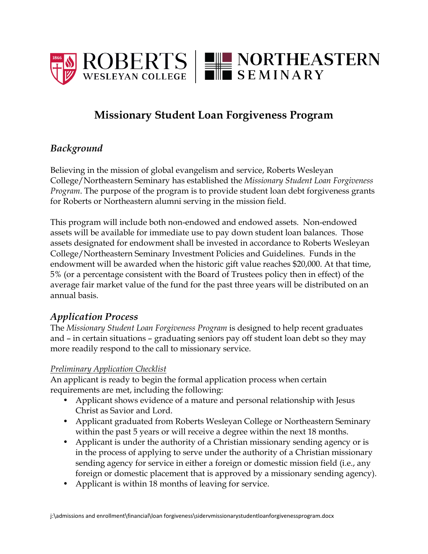

# **Missionary Student Loan Forgiveness Program**

# *Background*

Believing in the mission of global evangelism and service, Roberts Wesleyan College/Northeastern Seminary has established the *Missionary Student Loan Forgiveness Program*. The purpose of the program is to provide student loan debt forgiveness grants for Roberts or Northeastern alumni serving in the mission field.

This program will include both non-endowed and endowed assets. Non-endowed assets will be available for immediate use to pay down student loan balances. Those assets designated for endowment shall be invested in accordance to Roberts Wesleyan College/Northeastern Seminary Investment Policies and Guidelines. Funds in the endowment will be awarded when the historic gift value reaches \$20,000. At that time, 5% (or a percentage consistent with the Board of Trustees policy then in effect) of the average fair market value of the fund for the past three years will be distributed on an annual basis.

### *Application Process*

The *Missionary Student Loan Forgiveness Program* is designed to help recent graduates and – in certain situations – graduating seniors pay off student loan debt so they may more readily respond to the call to missionary service.

#### *Preliminary Application Checklist*

An applicant is ready to begin the formal application process when certain requirements are met, including the following:

- Applicant shows evidence of a mature and personal relationship with Jesus Christ as Savior and Lord.
- Applicant graduated from Roberts Wesleyan College or Northeastern Seminary within the past 5 years or will receive a degree within the next 18 months.
- Applicant is under the authority of a Christian missionary sending agency or is in the process of applying to serve under the authority of a Christian missionary sending agency for service in either a foreign or domestic mission field (i.e., any foreign or domestic placement that is approved by a missionary sending agency).
- Applicant is within 18 months of leaving for service.